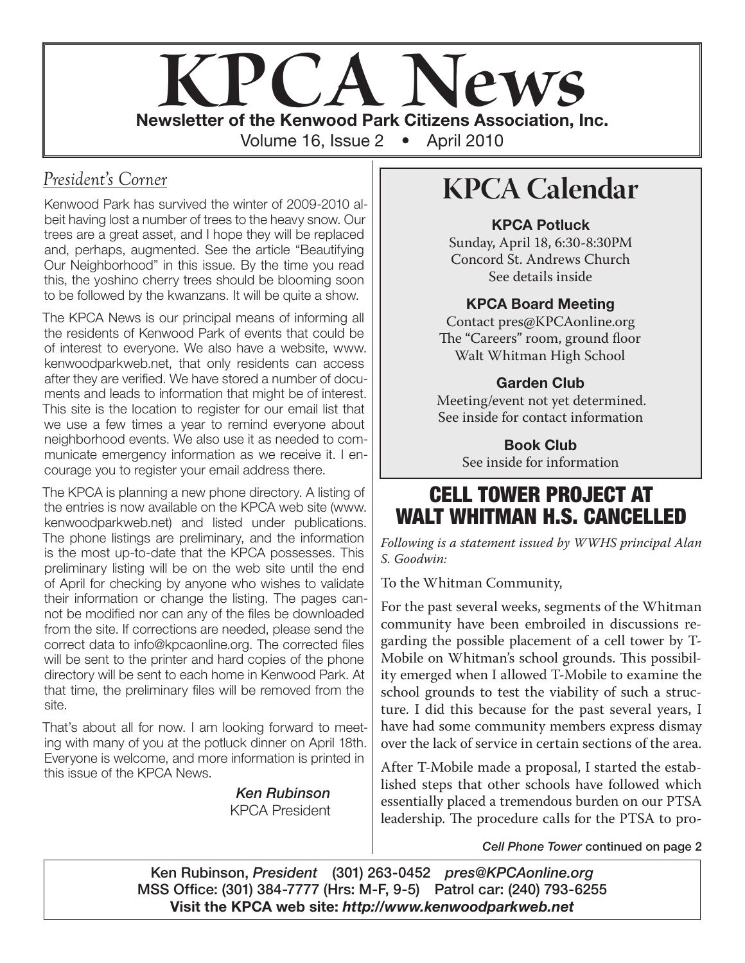# **KPCA News** Newsletter of the Kenwood Park Citizens Association, Inc. Volume 16, Issue 2 • April 2010

### *President's Corner*

Kenwood Park has survived the winter of 2009-2010 albeit having lost a number of trees to the heavy snow. Our trees are a great asset, and I hope they will be replaced and, perhaps, augmented. See the article "Beautifying Our Neighborhood" in this issue. By the time you read this, the yoshino cherry trees should be blooming soon to be followed by the kwanzans. It will be quite a show.

The KPCA News is our principal means of informing all the residents of Kenwood Park of events that could be of interest to everyone. We also have a website, www. kenwoodparkweb.net, that only residents can access after they are verified. We have stored a number of documents and leads to information that might be of interest. This site is the location to register for our email list that we use a few times a year to remind everyone about neighborhood events. We also use it as needed to communicate emergency information as we receive it. I encourage you to register your email address there.

The KPCA is planning a new phone directory. A listing of the entries is now available on the KPCA web site (www. kenwoodparkweb.net) and listed under publications. The phone listings are preliminary, and the information is the most up-to-date that the KPCA possesses. This preliminary listing will be on the web site until the end of April for checking by anyone who wishes to validate their information or change the listing. The pages cannot be modified nor can any of the files be downloaded from the site. If corrections are needed, please send the correct data to info@kpcaonline.org. The corrected files will be sent to the printer and hard copies of the phone directory will be sent to each home in Kenwood Park. At that time, the preliminary files will be removed from the site.

That's about all for now. I am looking forward to meeting with many of you at the potluck dinner on April 18th. Everyone is welcome, and more information is printed in this issue of the KPCA News.

> *Ken Rubinson* KPCA President

# **KPCA Calendar**

### KPCA Potluck

Sunday, April 18, 6:30-8:30PM Concord St. Andrews Church See details inside

### KPCA Board Meeting

Contact pres@KPCAonline.org The "Careers" room, ground floor Walt Whitman High School

### Garden Club

Meeting/event not yet determined. See inside for contact information

> Book Club See inside for information

### CELL TOWER PROJECT AT WALT WHITMAN H.S. CANCELLED

*Following is a statement issued by WWHS principal Alan S. Goodwin:*

To the Whitman Community,

For the past several weeks, segments of the Whitman community have been embroiled in discussions regarding the possible placement of a cell tower by T-Mobile on Whitman's school grounds. This possibility emerged when I allowed T-Mobile to examine the school grounds to test the viability of such a structure. I did this because for the past several years, I have had some community members express dismay over the lack of service in certain sections of the area.

After T-Mobile made a proposal, I started the established steps that other schools have followed which essentially placed a tremendous burden on our PTSA leadership. The procedure calls for the PTSA to pro-

*Cell Phone Tower* continued on page 2

Ken Rubinson, *President*  (301) 263-0452 *pres@KPCAonline.org* MSS Office: (301) 384-7777 (Hrs: M-F, 9-5) Patrol car: (240) 793-6255 Visit the KPCA web site: *http://www.kenwoodparkweb.net*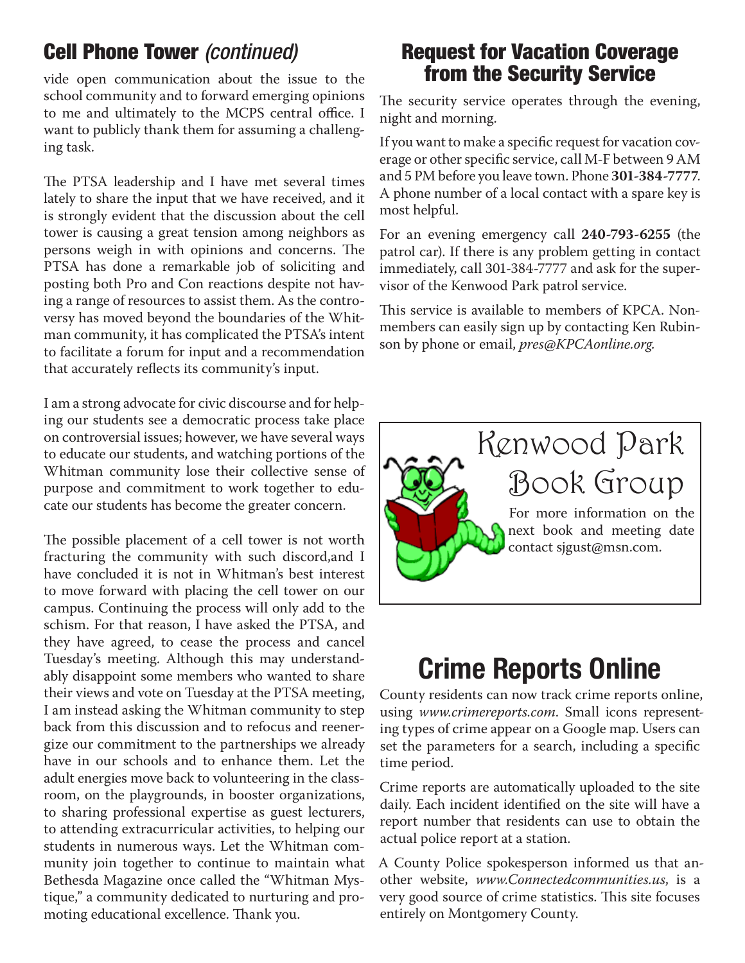### Cell Phone Tower *(continued)*

vide open communication about the issue to the school community and to forward emerging opinions to me and ultimately to the MCPS central office. I want to publicly thank them for assuming a challenging task.

The PTSA leadership and I have met several times lately to share the input that we have received, and it is strongly evident that the discussion about the cell tower is causing a great tension among neighbors as persons weigh in with opinions and concerns. The PTSA has done a remarkable job of soliciting and posting both Pro and Con reactions despite not having a range of resources to assist them. As the controversy has moved beyond the boundaries of the Whitman community, it has complicated the PTSA's intent to facilitate a forum for input and a recommendation that accurately reflects its community's input.

I am a strong advocate for civic discourse and for helping our students see a democratic process take place on controversial issues; however, we have several ways to educate our students, and watching portions of the Whitman community lose their collective sense of purpose and commitment to work together to educate our students has become the greater concern.

The possible placement of a cell tower is not worth fracturing the community with such discord,and I have concluded it is not in Whitman's best interest to move forward with placing the cell tower on our campus. Continuing the process will only add to the schism. For that reason, I have asked the PTSA, and they have agreed, to cease the process and cancel Tuesday's meeting. Although this may understandably disappoint some members who wanted to share their views and vote on Tuesday at the PTSA meeting, I am instead asking the Whitman community to step back from this discussion and to refocus and reenergize our commitment to the partnerships we already have in our schools and to enhance them. Let the adult energies move back to volunteering in the classroom, on the playgrounds, in booster organizations, to sharing professional expertise as guest lecturers, to attending extracurricular activities, to helping our students in numerous ways. Let the Whitman community join together to continue to maintain what Bethesda Magazine once called the "Whitman Mystique," a community dedicated to nurturing and promoting educational excellence. Thank you.

### Request for Vacation Coverage from the Security Service

The security service operates through the evening, night and morning.

If you want to make a specific request for vacation coverage or other specific service, call M-F between 9 AM and 5 PM before you leave town. Phone **301-384-7777**. A phone number of a local contact with a spare key is most helpful.

For an evening emergency call **240-793-6255** (the patrol car). If there is any problem getting in contact immediately, call 301-384-7777 and ask for the supervisor of the Kenwood Park patrol service.

This service is available to members of KPCA. Nonmembers can easily sign up by contacting Ken Rubinson by phone or email, *pres@KPCAonline.org*.



# Crime Reports Online

County residents can now track crime reports online, using *www.crimereports.com*. Small icons representing types of crime appear on a Google map. Users can set the parameters for a search, including a specific time period.

Crime reports are automatically uploaded to the site daily. Each incident identified on the site will have a report number that residents can use to obtain the actual police report at a station.

A County Police spokesperson informed us that another website, *www.Connectedcommunities.us*, is a very good source of crime statistics. This site focuses entirely on Montgomery County.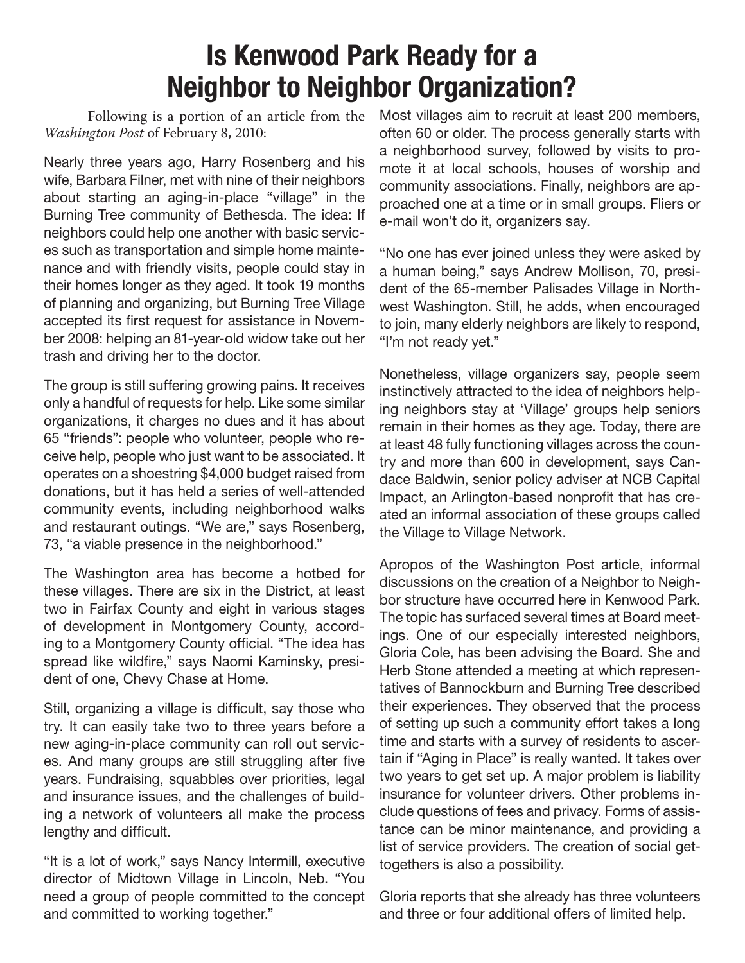# Is Kenwood Park Ready for a Neighbor to Neighbor Organization?

Following is a portion of an article from the *Washington Post* of February 8, 2010:

Nearly three years ago, Harry Rosenberg and his wife, Barbara Filner, met with nine of their neighbors about starting an aging-in-place "village" in the Burning Tree community of Bethesda. The idea: If neighbors could help one another with basic services such as transportation and simple home maintenance and with friendly visits, people could stay in their homes longer as they aged. It took 19 months of planning and organizing, but Burning Tree Village accepted its first request for assistance in November 2008: helping an 81-year-old widow take out her trash and driving her to the doctor.

The group is still suffering growing pains. It receives only a handful of requests for help. Like some similar organizations, it charges no dues and it has about 65 "friends": people who volunteer, people who receive help, people who just want to be associated. It operates on a shoestring \$4,000 budget raised from donations, but it has held a series of well-attended community events, including neighborhood walks and restaurant outings. "We are," says Rosenberg, 73, "a viable presence in the neighborhood."

The Washington area has become a hotbed for these villages. There are six in the District, at least two in Fairfax County and eight in various stages of development in Montgomery County, according to a Montgomery County official. "The idea has spread like wildfire," says Naomi Kaminsky, president of one, Chevy Chase at Home.

Still, organizing a village is difficult, say those who try. It can easily take two to three years before a new aging-in-place community can roll out services. And many groups are still struggling after five years. Fundraising, squabbles over priorities, legal and insurance issues, and the challenges of building a network of volunteers all make the process lengthy and difficult.

"It is a lot of work," says Nancy Intermill, executive director of Midtown Village in Lincoln, Neb. "You need a group of people committed to the concept and committed to working together."

Most villages aim to recruit at least 200 members, often 60 or older. The process generally starts with a neighborhood survey, followed by visits to promote it at local schools, houses of worship and community associations. Finally, neighbors are approached one at a time or in small groups. Fliers or e-mail won't do it, organizers say.

"No one has ever joined unless they were asked by a human being," says Andrew Mollison, 70, president of the 65-member Palisades Village in Northwest Washington. Still, he adds, when encouraged to join, many elderly neighbors are likely to respond, "I'm not ready yet."

Nonetheless, village organizers say, people seem instinctively attracted to the idea of neighbors helping neighbors stay at 'Village' groups help seniors remain in their homes as they age. Today, there are at least 48 fully functioning villages across the country and more than 600 in development, says Candace Baldwin, senior policy adviser at NCB Capital Impact, an Arlington-based nonprofit that has created an informal association of these groups called the Village to Village Network.

Apropos of the Washington Post article, informal discussions on the creation of a Neighbor to Neighbor structure have occurred here in Kenwood Park. The topic has surfaced several times at Board meetings. One of our especially interested neighbors, Gloria Cole, has been advising the Board. She and Herb Stone attended a meeting at which representatives of Bannockburn and Burning Tree described their experiences. They observed that the process of setting up such a community effort takes a long time and starts with a survey of residents to ascertain if "Aging in Place" is really wanted. It takes over two years to get set up. A major problem is liability insurance for volunteer drivers. Other problems include questions of fees and privacy. Forms of assistance can be minor maintenance, and providing a list of service providers. The creation of social gettogethers is also a possibility.

Gloria reports that she already has three volunteers and three or four additional offers of limited help.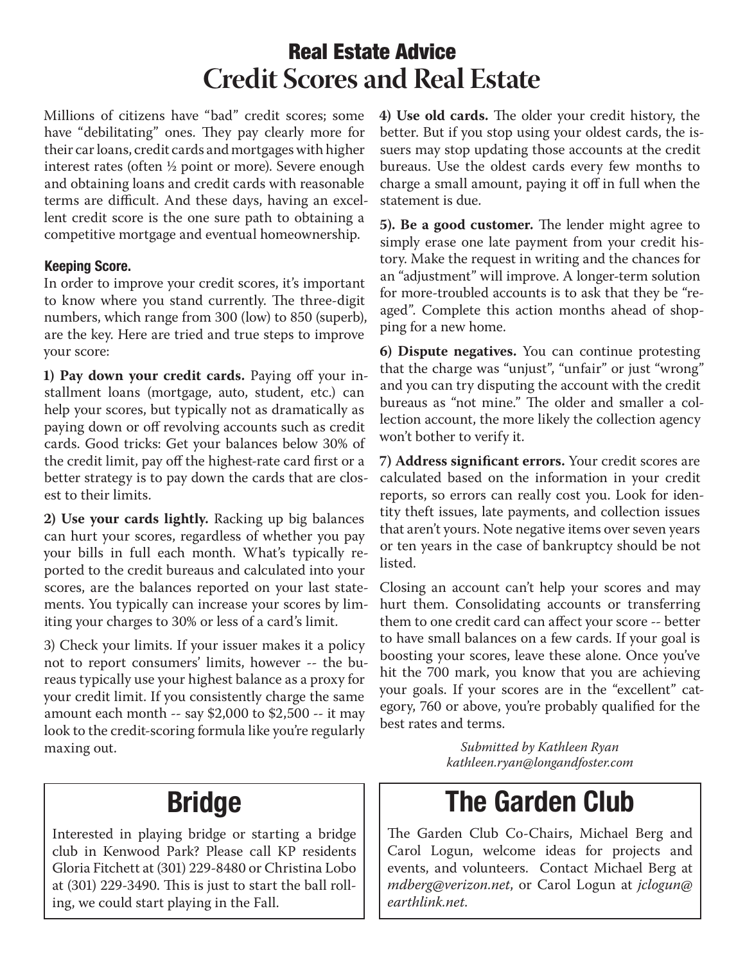### Real Estate Advice **Credit Scores and Real Estate**

Millions of citizens have "bad" credit scores; some have "debilitating" ones. They pay clearly more for their car loans, credit cards and mortgages with higher interest rates (often ½ point or more). Severe enough and obtaining loans and credit cards with reasonable terms are difficult. And these days, having an excellent credit score is the one sure path to obtaining a competitive mortgage and eventual homeownership.

### Keeping Score.

In order to improve your credit scores, it's important to know where you stand currently. The three-digit numbers, which range from 300 (low) to 850 (superb), are the key. Here are tried and true steps to improve your score:

**1) Pay down your credit cards.** Paying off your installment loans (mortgage, auto, student, etc.) can help your scores, but typically not as dramatically as paying down or off revolving accounts such as credit cards. Good tricks: Get your balances below 30% of the credit limit, pay off the highest-rate card first or a better strategy is to pay down the cards that are closest to their limits.

**2) Use your cards lightly.** Racking up big balances can hurt your scores, regardless of whether you pay your bills in full each month. What's typically reported to the credit bureaus and calculated into your scores, are the balances reported on your last statements. You typically can increase your scores by limiting your charges to 30% or less of a card's limit.

3) Check your limits. If your issuer makes it a policy not to report consumers' limits, however -- the bureaus typically use your highest balance as a proxy for your credit limit. If you consistently charge the same amount each month -- say \$2,000 to \$2,500 -- it may look to the credit-scoring formula like you're regularly maxing out.

**4) Use old cards.** The older your credit history, the better. But if you stop using your oldest cards, the issuers may stop updating those accounts at the credit bureaus. Use the oldest cards every few months to charge a small amount, paying it off in full when the statement is due.

**5). Be a good customer.** The lender might agree to simply erase one late payment from your credit history. Make the request in writing and the chances for an "adjustment" will improve. A longer-term solution for more-troubled accounts is to ask that they be "reaged". Complete this action months ahead of shopping for a new home.

**6) Dispute negatives.** You can continue protesting that the charge was "unjust", "unfair" or just "wrong" and you can try disputing the account with the credit bureaus as "not mine." The older and smaller a collection account, the more likely the collection agency won't bother to verify it.

**7) Address significant errors.** Your credit scores are calculated based on the information in your credit reports, so errors can really cost you. Look for identity theft issues, late payments, and collection issues that aren't yours. Note negative items over seven years or ten years in the case of bankruptcy should be not listed.

Closing an account can't help your scores and may hurt them. Consolidating accounts or transferring them to one credit card can affect your score -- better to have small balances on a few cards. If your goal is boosting your scores, leave these alone. Once you've hit the 700 mark, you know that you are achieving your goals. If your scores are in the "excellent" category, 760 or above, you're probably qualified for the best rates and terms.

> *Submitted by Kathleen Ryan kathleen.ryan@longandfoster.com*

## Bridge

Interested in playing bridge or starting a bridge club in Kenwood Park? Please call KP residents Gloria Fitchett at (301) 229-8480 or Christina Lobo at (301) 229-3490. This is just to start the ball rolling, we could start playing in the Fall.

# The Garden Club

The Garden Club Co-Chairs, Michael Berg and Carol Logun, welcome ideas for projects and events, and volunteers. Contact Michael Berg at *mdberg@verizon.net*, or Carol Logun at *jclogun@ earthlink.net*.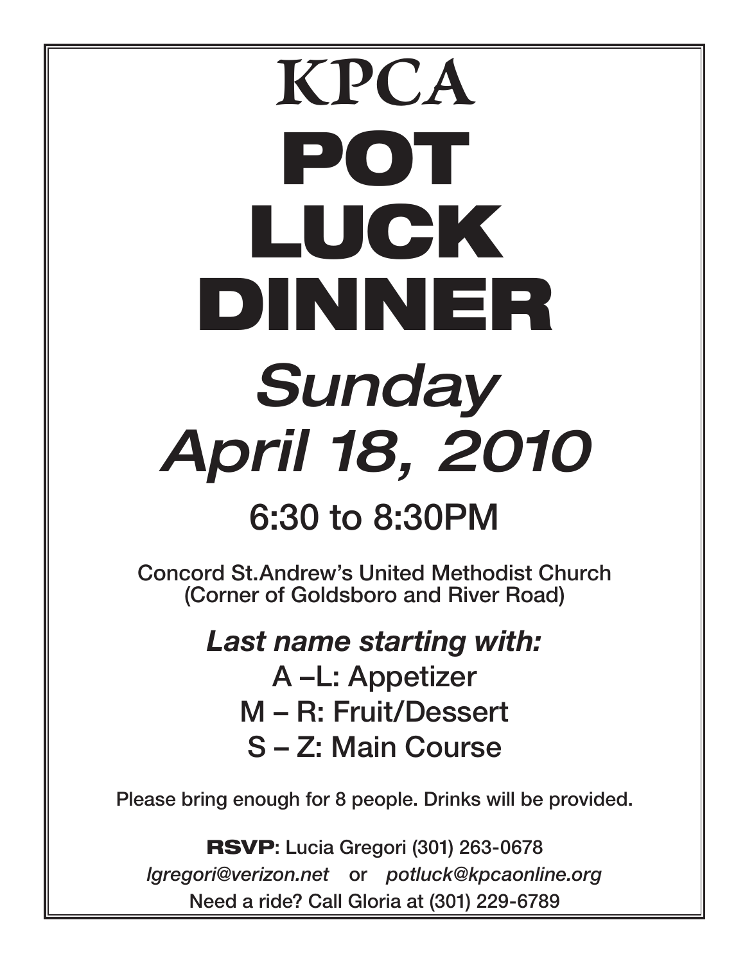# **KPCA** POT LUCK DINNER *Sunday April 18, 2010*

# 6:30 to 8:30PM

Concord St.Andrew's United Methodist Church (Corner of Goldsboro and River Road)

> *Last name starting with:* A –L: Appetizer M – R: Fruit/Dessert S – Z: Main Course

Please bring enough for 8 people. Drinks will be provided.

RSVP: Lucia Gregori (301) 263-0678 *lgregori@verizon.net*  or *potluck@kpcaonline.org* Need a ride? Call Gloria at (301) 229-6789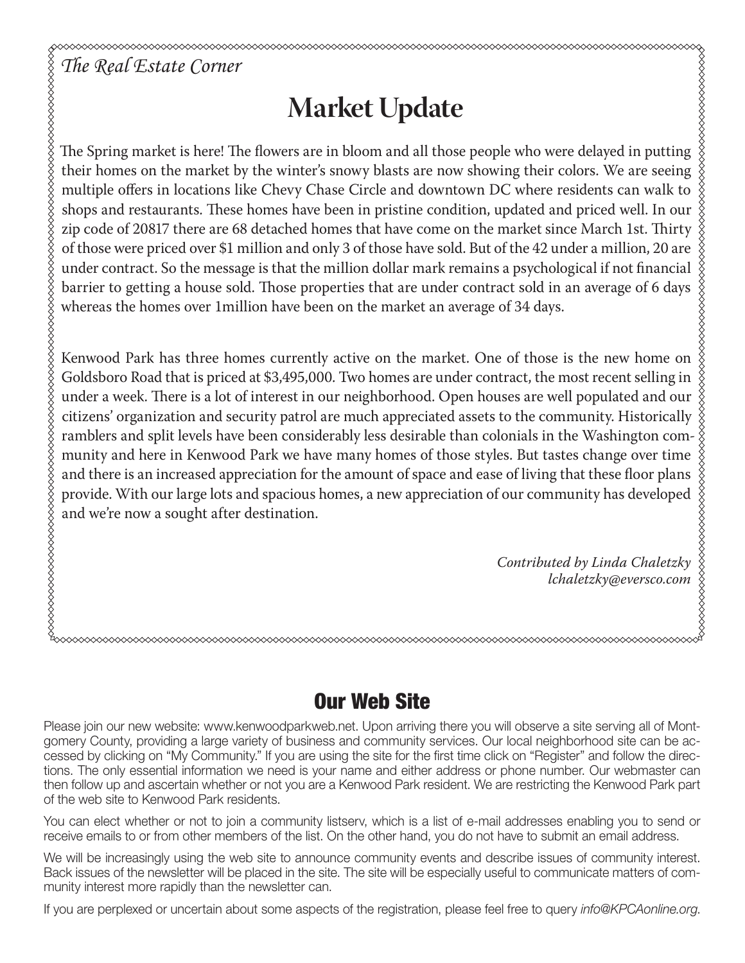# **Market Update**

The Spring market is here! The flowers are in bloom and all those people who were delayed in putting their homes on the market by the winter's snowy blasts are now showing their colors. We are seeing multiple offers in locations like Chevy Chase Circle and downtown DC where residents can walk to **Solution** The Real Estate Corner **Market Update**<br>
The Spring market is here! The flowers are in bloom and all those people who were delayed in putting<br>
their homes on the market by the winter's snowy blasts are now showi zip code of 20817 there are 68 detached homes that have come on the market since March 1st. Thirty of those were priced over \$1 million and only 3 of those have sold. But of the 42 under a million, 20 are under contract. So the message is that the million dollar mark remains a psychological if not financial barrier to getting a house sold. Those properties that are under contract sold in an average of 6 days whereas the homes over 1million have been on the market an average of 34 days.

Kenwood Park has three homes currently active on the market. One of those is the new home on Goldsboro Road that is priced at \$3,495,000. Two homes are under contract, the most recent selling in under a week. There is a lot of interest in our neighborhood. Open houses are well populated and our citizens' organization and security patrol are much appreciated assets to the community. Historically ramblers and split levels have been considerably less desirable than colonials in the Washington community and here in Kenwood Park we have many homes of those styles. But tastes change over time and there is an increased appreciation for the amount of space and ease of living that these floor plans provide. With our large lots and spacious homes, a new appreciation of our community has developed and we're now a sought after destination.

*Contributed by Linda Chaletzky lchaletzky@eversco.com*

### Our Web Site

Please join our new website: www.kenwoodparkweb.net. Upon arriving there you will observe a site serving all of Montgomery County, providing a large variety of business and community services. Our local neighborhood site can be accessed by clicking on "My Community." If you are using the site for the first time click on "Register" and follow the directions. The only essential information we need is your name and either address or phone number. Our webmaster can then follow up and ascertain whether or not you are a Kenwood Park resident. We are restricting the Kenwood Park part of the web site to Kenwood Park residents.

You can elect whether or not to join a community listserv, which is a list of e-mail addresses enabling you to send or receive emails to or from other members of the list. On the other hand, you do not have to submit an email address.

We will be increasingly using the web site to announce community events and describe issues of community interest. Back issues of the newsletter will be placed in the site. The site will be especially useful to communicate matters of community interest more rapidly than the newsletter can.

If you are perplexed or uncertain about some aspects of the registration, please feel free to query *info@KPCAonline.org*.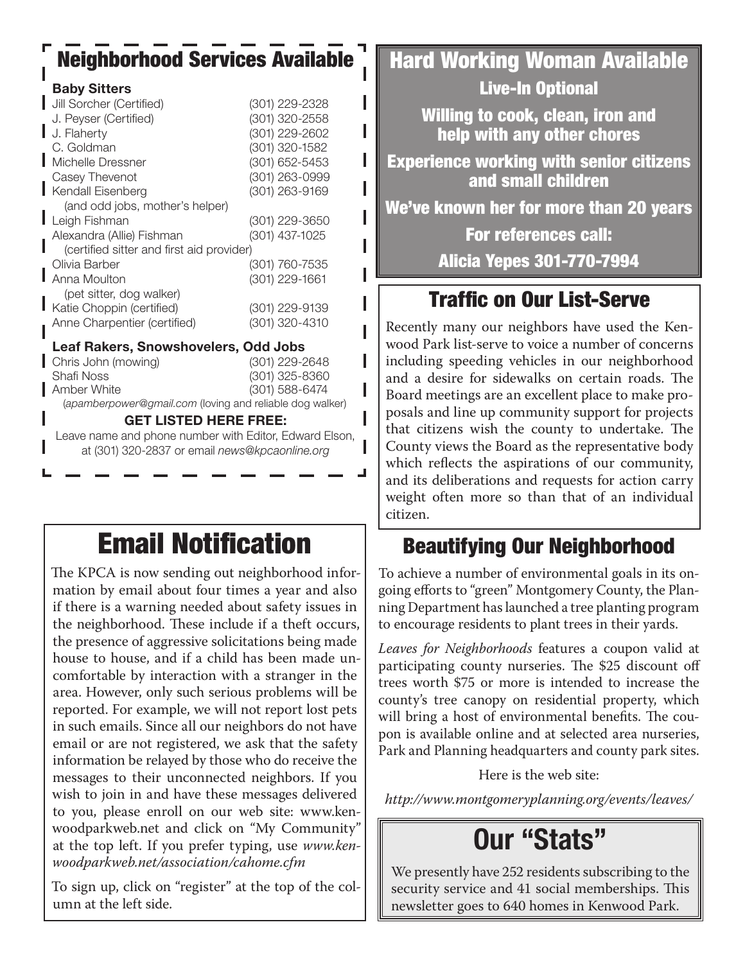### Neighborhood Services Available

### Baby Sitters

| Jill Sorcher (Certified)                  | (301) 229-2328 |
|-------------------------------------------|----------------|
| J. Peyser (Certified)                     | (301) 320-2558 |
| J. Flaherty                               | (301) 229-2602 |
| C. Goldman                                | (301) 320-1582 |
| Michelle Dressner                         | (301) 652-5453 |
| Casey Thevenot                            | (301) 263-0999 |
| Kendall Eisenberg                         | (301) 263-9169 |
| (and odd jobs, mother's helper)           |                |
| Leigh Fishman                             | (301) 229-3650 |
| Alexandra (Allie) Fishman                 | (301) 437-1025 |
| (certified sitter and first aid provider) |                |
| Olivia Barber                             | (301) 760-7535 |
| Anna Moulton                              | (301) 229-1661 |
| (pet sitter, dog walker)                  |                |
| Katie Choppin (certified)                 | (301) 229-9139 |
| Anne Charpentier (certified)              | (301) 320-4310 |
| .<br>. n.l                                |                |

### Leaf Rakers, Snowshovelers, Odd Jobs

| Chris John (mowing)                                      | (301) 229-2648 |  |
|----------------------------------------------------------|----------------|--|
| <b>Shafi Noss</b>                                        | (301) 325-8360 |  |
| Amber White                                              | (301) 588-6474 |  |
| (apamberpower@gmail.com (loving and reliable dog walker) |                |  |
|                                                          |                |  |

### GET LISTED HERE FREE:

Leave name and phone number with Editor, Edward Elson, at (301) 320-2837 or email *news@kpcaonline.org*

# Email Notification

The KPCA is now sending out neighborhood information by email about four times a year and also if there is a warning needed about safety issues in the neighborhood. These include if a theft occurs, the presence of aggressive solicitations being made house to house, and if a child has been made uncomfortable by interaction with a stranger in the area. However, only such serious problems will be reported. For example, we will not report lost pets in such emails. Since all our neighbors do not have email or are not registered, we ask that the safety information be relayed by those who do receive the messages to their unconnected neighbors. If you wish to join in and have these messages delivered to you, please enroll on our web site: www.kenwoodparkweb.net and click on "My Community" at the top left. If you prefer typing, use *www.kenwoodparkweb.net/association/cahome.cfm*

To sign up, click on "register" at the top of the column at the left side.

### Hard Working Woman Available Live-In Optional

Willing to cook, clean, iron and help with any other chores

Experience working with senior citizens and small children

We've known her for more than 20 years

For references call: Alicia Yepes 301-770-7994

### Traffic on Our List-Serve

Recently many our neighbors have used the Kenwood Park list-serve to voice a number of concerns including speeding vehicles in our neighborhood and a desire for sidewalks on certain roads. The Board meetings are an excellent place to make proposals and line up community support for projects that citizens wish the county to undertake. The County views the Board as the representative body which reflects the aspirations of our community, and its deliberations and requests for action carry weight often more so than that of an individual citizen.

### Beautifying Our Neighborhood

To achieve a number of environmental goals in its ongoing efforts to "green" Montgomery County, the Planning Department has launched a tree planting program to encourage residents to plant trees in their yards.

*Leaves for Neighborhoods* features a coupon valid at participating county nurseries. The \$25 discount off trees worth \$75 or more is intended to increase the county's tree canopy on residential property, which will bring a host of environmental benefits. The coupon is available online and at selected area nurseries, Park and Planning headquarters and county park sites.

Here is the web site:

*http://www.montgomeryplanning.org/events/leaves/*

# Our "Stats"

We presently have 252 residents subscribing to the security service and 41 social memberships. This newsletter goes to 640 homes in Kenwood Park.